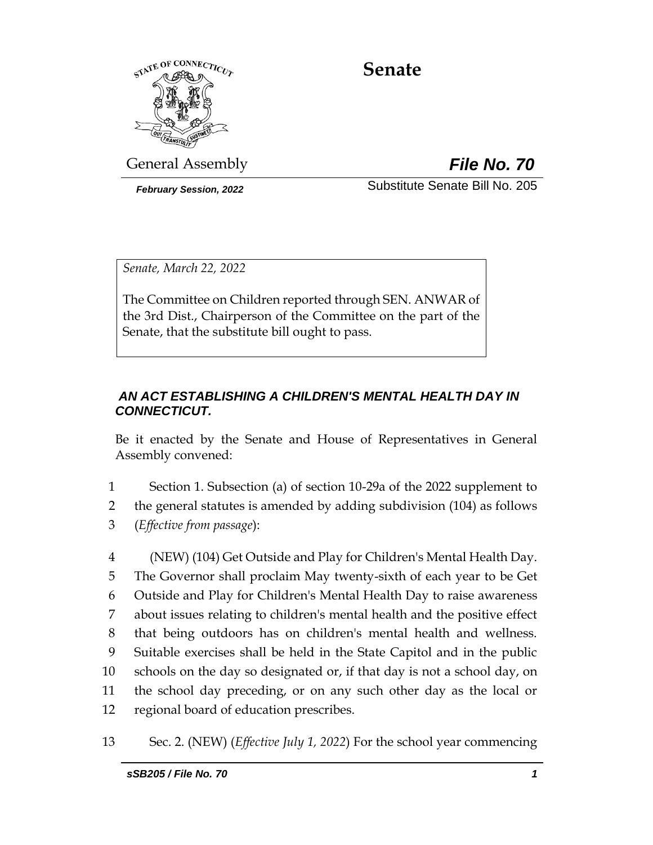

# **Senate**

General Assembly *File No. 70*

*February Session, 2022* Substitute Senate Bill No. 205

*Senate, March 22, 2022*

The Committee on Children reported through SEN. ANWAR of the 3rd Dist., Chairperson of the Committee on the part of the Senate, that the substitute bill ought to pass.

# *AN ACT ESTABLISHING A CHILDREN'S MENTAL HEALTH DAY IN CONNECTICUT.*

Be it enacted by the Senate and House of Representatives in General Assembly convened:

1 Section 1. Subsection (a) of section 10-29a of the 2022 supplement to 2 the general statutes is amended by adding subdivision (104) as follows 3 (*Effective from passage*):

 (NEW) (104) Get Outside and Play for Children's Mental Health Day. The Governor shall proclaim May twenty-sixth of each year to be Get Outside and Play for Children's Mental Health Day to raise awareness about issues relating to children's mental health and the positive effect that being outdoors has on children's mental health and wellness. Suitable exercises shall be held in the State Capitol and in the public schools on the day so designated or, if that day is not a school day, on the school day preceding, or on any such other day as the local or regional board of education prescribes.

13 Sec. 2. (NEW) (*Effective July 1, 2022*) For the school year commencing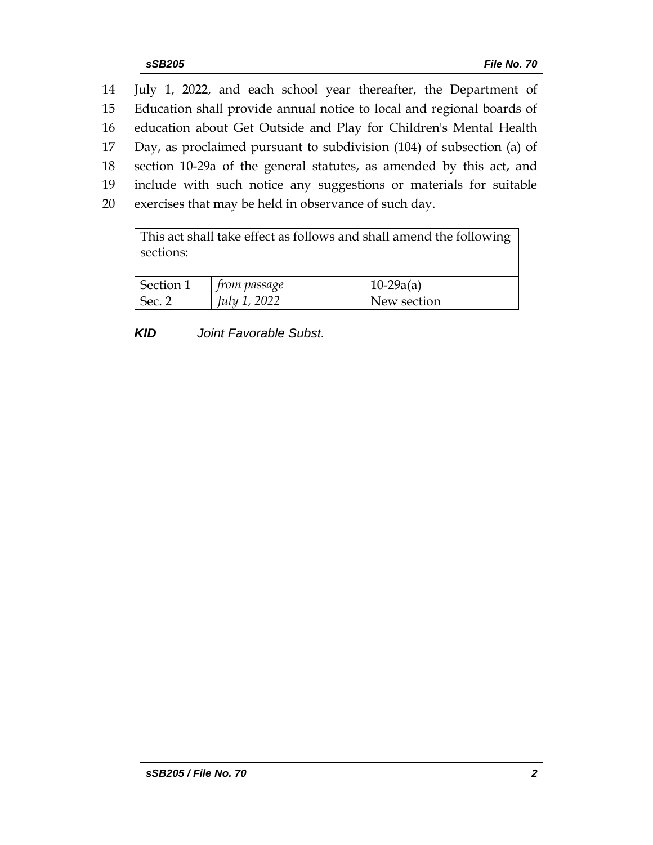July 1, 2022, and each school year thereafter, the Department of Education shall provide annual notice to local and regional boards of education about Get Outside and Play for Children's Mental Health Day, as proclaimed pursuant to subdivision (104) of subsection (a) of section 10-29a of the general statutes, as amended by this act, and include with such notice any suggestions or materials for suitable exercises that may be held in observance of such day.

| This act shall take effect as follows and shall amend the following<br>sections: |                     |             |  |  |  |
|----------------------------------------------------------------------------------|---------------------|-------------|--|--|--|
| Section 1                                                                        | <i>from passage</i> | $10-29a(a)$ |  |  |  |
| Sec. 2                                                                           | July 1, 2022        | New section |  |  |  |

*KID Joint Favorable Subst.*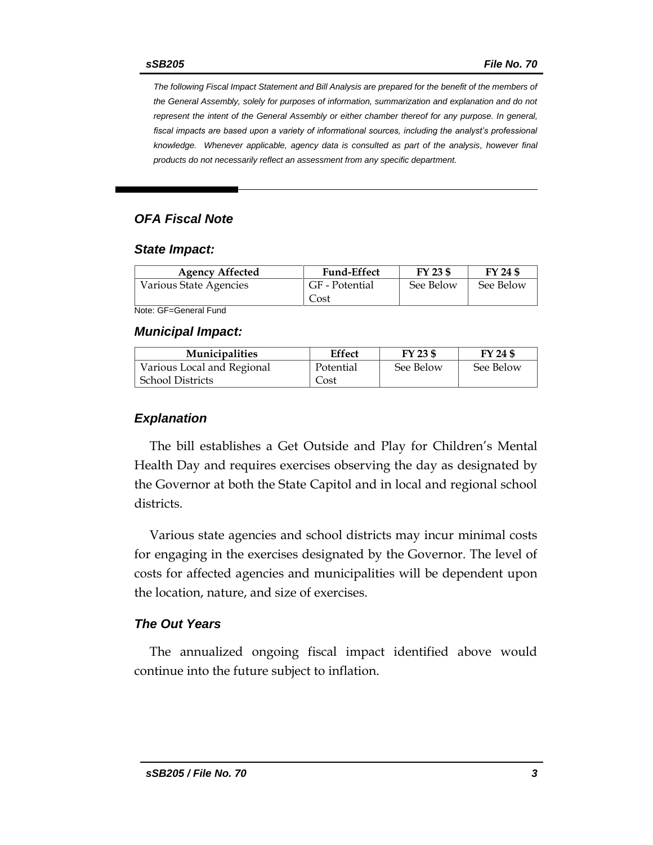*The following Fiscal Impact Statement and Bill Analysis are prepared for the benefit of the members of the General Assembly, solely for purposes of information, summarization and explanation and do not represent the intent of the General Assembly or either chamber thereof for any purpose. In general,*  fiscal impacts are based upon a variety of informational sources, including the analyst's professional *knowledge. Whenever applicable, agency data is consulted as part of the analysis, however final products do not necessarily reflect an assessment from any specific department.*

# *OFA Fiscal Note*

#### *State Impact:*

| <b>Agency Affected</b> | <b>Fund-Effect</b>     | FY 23 \$  | FY 24 \$  |
|------------------------|------------------------|-----------|-----------|
| Various State Agencies | GF - Potential<br>Cost | See Below | See Below |

Note: GF=General Fund

#### *Municipal Impact:*

| <b>Municipalities</b>      | <b>Effect</b> | FY 23 \$  | FY 24 \$  |
|----------------------------|---------------|-----------|-----------|
| Various Local and Regional | Potential     | See Below | See Below |
| <b>School Districts</b>    | Cost          |           |           |

### *Explanation*

The bill establishes a Get Outside and Play for Children's Mental Health Day and requires exercises observing the day as designated by the Governor at both the State Capitol and in local and regional school districts.

Various state agencies and school districts may incur minimal costs for engaging in the exercises designated by the Governor. The level of costs for affected agencies and municipalities will be dependent upon the location, nature, and size of exercises.

## *The Out Years*

The annualized ongoing fiscal impact identified above would continue into the future subject to inflation.